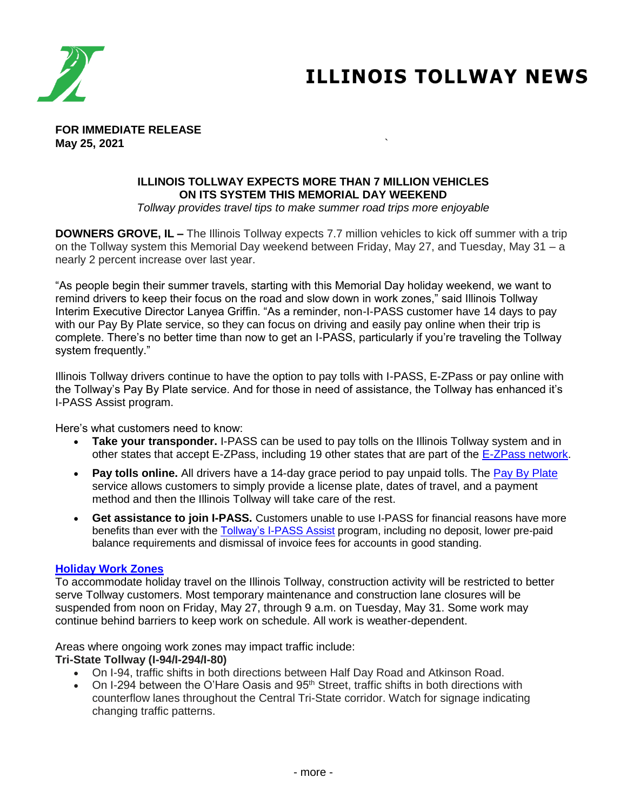

# **ILLINOIS TOLLWAY NEWS**

**FOR IMMEDIATE RELEASE May 25, 2021** `

## **ILLINOIS TOLLWAY EXPECTS MORE THAN 7 MILLION VEHICLES ON ITS SYSTEM THIS MEMORIAL DAY WEEKEND**

*Tollway provides travel tips to make summer road trips more enjoyable*

**DOWNERS GROVE, IL –** The Illinois Tollway expects 7.7 million vehicles to kick off summer with a trip on the Tollway system this Memorial Day weekend between Friday, May 27, and Tuesday, May 31 – a nearly 2 percent increase over last year.

"As people begin their summer travels, starting with this Memorial Day holiday weekend, we want to remind drivers to keep their focus on the road and slow down in work zones," said Illinois Tollway Interim Executive Director Lanyea Griffin. "As a reminder, non-I-PASS customer have 14 days to pay with our Pay By Plate service, so they can focus on driving and easily pay online when their trip is complete. There's no better time than now to get an I-PASS, particularly if you're traveling the Tollway system frequently."

Illinois Tollway drivers continue to have the option to pay tolls with I-PASS, E-ZPass or pay online with the Tollway's Pay By Plate service. And for those in need of assistance, the Tollway has enhanced it's I-PASS Assist program.

Here's what customers need to know:

- **Take your transponder.** I-PASS can be used to pay tolls on the Illinois Tollway system and in other states that accept E-ZPass, including 19 other states that are part of the [E-ZPass network.](https://www.illinoistollway.com/about-ipass#:~:text=Drive%20Farther%20With%20I%2DPASS)
- Pay tolls online. All drivers have a 14-day grace period to pay unpaid tolls. The [Pay By Plate](https://www.illinoistollway.com/unpaid-tolls) service allows customers to simply provide a license plate, dates of travel, and a payment method and then the Illinois Tollway will take care of the rest.
- **Get assistance to join I-PASS.** Customers unable to use I-PASS for financial reasons have more benefits than ever with the **Tollway's I-PASS Assist program**, including no deposit, lower pre-paid balance requirements and dismissal of invoice fees for accounts in good standing.

#### **[Holiday Work Zones](https://www.illinoistollway.com/projects)**

To accommodate holiday travel on the Illinois Tollway, construction activity will be restricted to better serve Tollway customers. Most temporary maintenance and construction lane closures will be suspended from noon on Friday, May 27, through 9 a.m. on Tuesday, May 31. Some work may continue behind barriers to keep work on schedule. All work is weather-dependent.

Areas where ongoing work zones may impact traffic include:

#### **Tri-State Tollway (I-94/I-294/I-80)**

- On I-94, traffic shifts in both directions between Half Day Road and Atkinson Road.
- On I-294 between the O'Hare Oasis and 95<sup>th</sup> Street, traffic shifts in both directions with counterflow lanes throughout the Central Tri-State corridor. Watch for signage indicating changing traffic patterns.